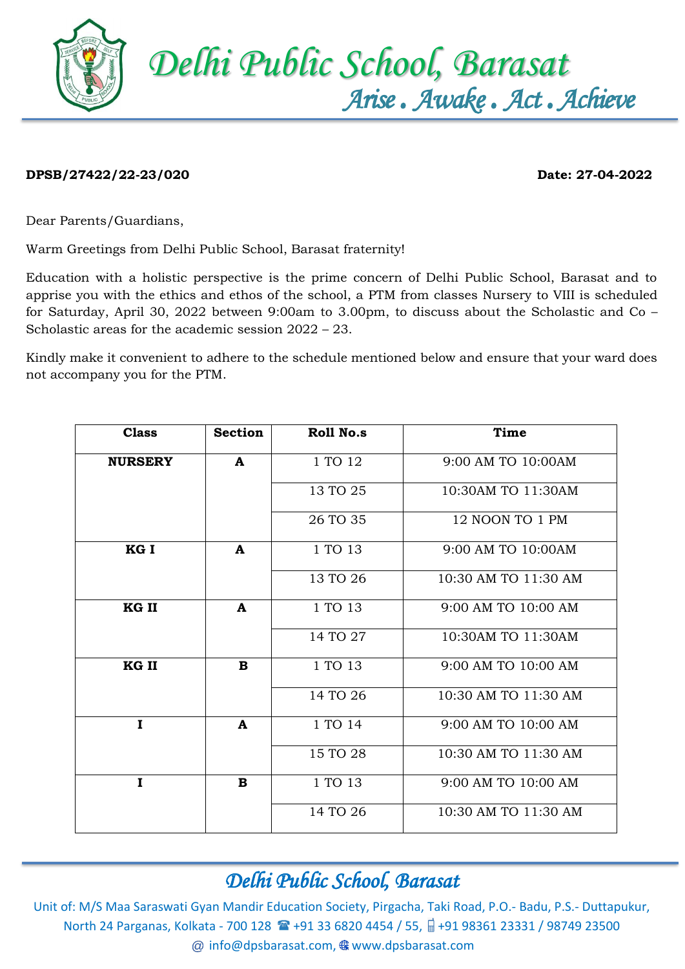

## **DPSB/27422/22-23/020 Date: 27-04-2022**

Dear Parents/Guardians,

Warm Greetings from Delhi Public School, Barasat fraternity!

Education with a holistic perspective is the prime concern of Delhi Public School, Barasat and to apprise you with the ethics and ethos of the school, a PTM from classes Nursery to VIII is scheduled for Saturday, April 30, 2022 between 9:00am to 3.00pm, to discuss about the Scholastic and Co – Scholastic areas for the academic session 2022 – 23.

Kindly make it convenient to adhere to the schedule mentioned below and ensure that your ward does not accompany you for the PTM.

| <b>Class</b>   | <b>Section</b> | <b>Roll No.s</b> | <b>Time</b>          |
|----------------|----------------|------------------|----------------------|
| <b>NURSERY</b> | $\mathbf{A}$   | 1 TO 12          | 9:00 AM TO 10:00AM   |
|                |                | 13 TO 25         | 10:30AM TO 11:30AM   |
|                |                | 26 TO 35         | 12 NOON TO 1 PM      |
| KG I           | $\mathbf{A}$   | 1 TO 13          | 9:00 AM TO 10:00AM   |
|                |                | 13 TO 26         | 10:30 AM TO 11:30 AM |
| KG II          | $\mathbf{A}$   | 1 TO 13          | 9:00 AM TO 10:00 AM  |
|                |                | 14 TO 27         | 10:30AM TO 11:30AM   |
| KG II          | B              | 1 TO 13          | 9:00 AM TO 10:00 AM  |
|                |                | 14 TO 26         | 10:30 AM TO 11:30 AM |
| I              | A              | 1 TO 14          | 9:00 AM TO 10:00 AM  |
|                |                | 15 TO 28         | 10:30 AM TO 11:30 AM |
| $\mathbf I$    | $\mathbf B$    | 1 TO 13          | 9:00 AM TO 10:00 AM  |
|                |                | 14 TO 26         | 10:30 AM TO 11:30 AM |

#### *Delhi Public School, Barasat*

Unit of: M/S Maa Saraswati Gyan Mandir Education Society, Pirgacha, Taki Road, P.O.- Badu, P.S.- Duttapukur, North 24 Parganas, Kolkata - 700 128 **1 + 91 33 6820 4454 / 55,** +91 98361 23331 / 98749 23500  $@$  [info@dpsbarasat.com,](mailto:info@dpsbarasat.com)  $@$  www.dpsbarasat.com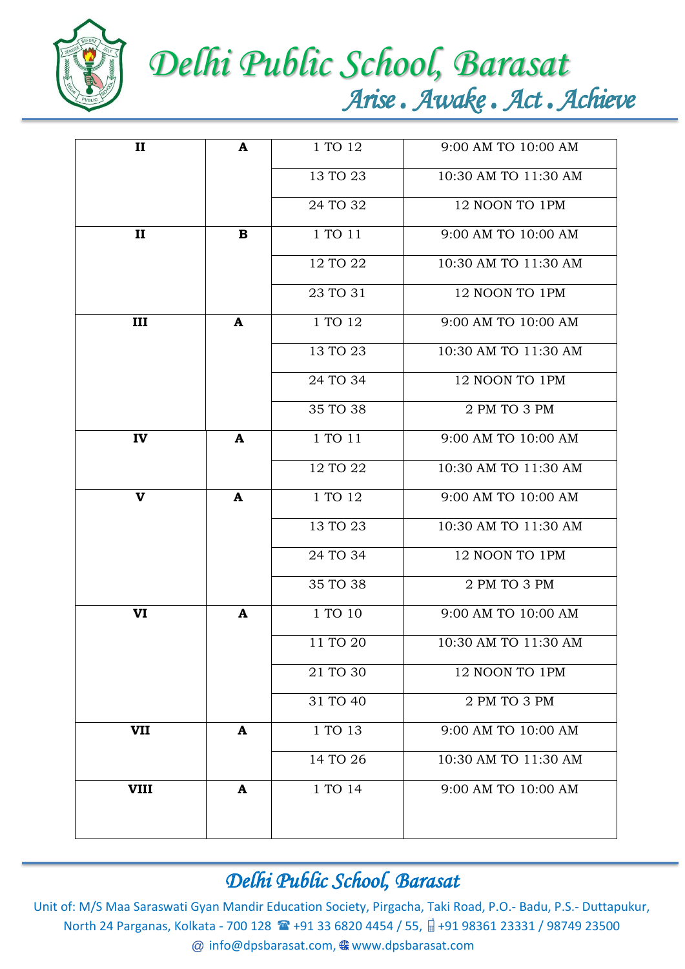

# *Delhi Public School, Barasat Arise . Awake . Act . Achieve*

| $\mathbf{I}$ | A            | 1 TO 12  | 9:00 AM TO 10:00 AM  |
|--------------|--------------|----------|----------------------|
|              |              | 13 TO 23 | 10:30 AM TO 11:30 AM |
|              |              | 24 TO 32 | 12 NOON TO 1PM       |
| $\mathbf{I}$ | $\mathbf B$  | 1 TO 11  | 9:00 AM TO 10:00 AM  |
|              |              | 12 TO 22 | 10:30 AM TO 11:30 AM |
|              |              | 23 TO 31 | 12 NOON TO 1PM       |
| III          | $\mathbf{A}$ | 1 TO 12  | 9:00 AM TO 10:00 AM  |
|              |              | 13 TO 23 | 10:30 AM TO 11:30 AM |
|              |              | 24 TO 34 | 12 NOON TO 1PM       |
|              |              | 35 TO 38 | 2 PM TO 3 PM         |
| IV           | $\mathbf{A}$ | 1 TO 11  | 9:00 AM TO 10:00 AM  |
|              |              | 12 TO 22 | 10:30 AM TO 11:30 AM |
| $\mathbf{V}$ | $\mathbf{A}$ | 1 TO 12  | 9:00 AM TO 10:00 AM  |
|              |              | 13 TO 23 | 10:30 AM TO 11:30 AM |
|              |              | 24 TO 34 | 12 NOON TO 1PM       |
|              |              | 35 TO 38 | 2 PM TO 3 PM         |
| VI           | $\mathbf{A}$ | 1 TO 10  | 9:00 AM TO 10:00 AM  |
|              |              | 11 TO 20 | 10:30 AM TO 11:30 AM |
|              |              | 21 TO 30 | 12 NOON TO 1PM       |
|              |              | 31 TO 40 | 2 PM TO 3 PM         |
| <b>VII</b>   | A            | 1 TO 13  | 9:00 AM TO 10:00 AM  |
|              |              | 14 TO 26 | 10:30 AM TO 11:30 AM |
| <b>VIII</b>  | A            | 1 TO 14  | 9:00 AM TO 10:00 AM  |
|              |              |          |                      |
|              |              |          |                      |

### *Delhi Public School, Barasat*

Unit of: M/S Maa Saraswati Gyan Mandir Education Society, Pirgacha, Taki Road, P.O.- Badu, P.S.- Duttapukur, North 24 Parganas, Kolkata - 700 128 <sup>2</sup> +91 33 6820 4454 / 55, a +91 98361 23331 / 98749 23500 @ [info@dpsbarasat.com,](mailto:info@dpsbarasat.com) @ www.dpsbarasat.com